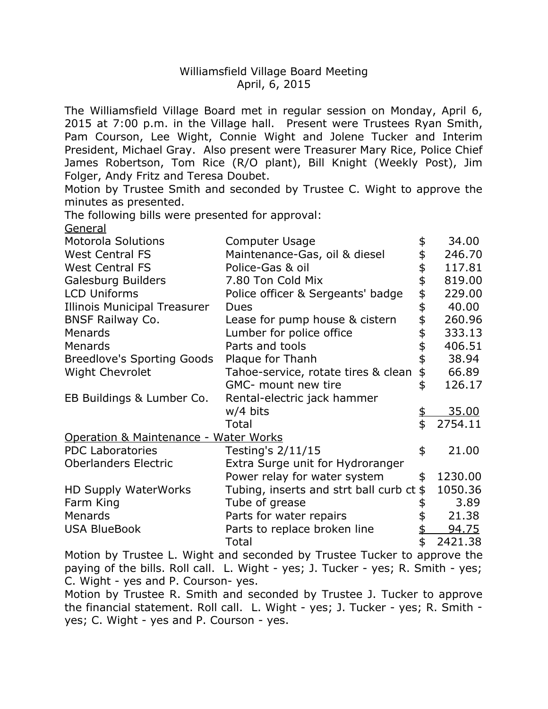## Williamsfield Village Board Meeting April, 6, 2015

 The Williamsfield Village Board met in regular session on Monday, April 6, 2015 at 7:00 p.m. in the Village hall. Present were Trustees Ryan Smith, Pam Courson, Lee Wight, Connie Wight and Jolene Tucker and Interim President, Michael Gray. Also present were Treasurer Mary Rice, Police Chief James Robertson, Tom Rice (R/O plant), Bill Knight (Weekly Post), Jim Folger, Andy Fritz and Teresa Doubet.

 Motion by Trustee Smith and seconded by Trustee C. Wight to approve the minutes as presented.

The following bills were presented for approval:

General

| <b>Motorola Solutions</b>             | <b>Computer Usage</b>                      |    | 34.00        |  |
|---------------------------------------|--------------------------------------------|----|--------------|--|
| <b>West Central FS</b>                | Maintenance-Gas, oil & diesel              |    | 246.70       |  |
| <b>West Central FS</b>                | Police-Gas & oil                           |    | 117.81       |  |
| Galesburg Builders                    | 7.80 Ton Cold Mix                          |    | 819.00       |  |
| <b>LCD Uniforms</b>                   | Police officer & Sergeants' badge          | \$ | 229.00       |  |
| <b>Illinois Municipal Treasurer</b>   | <b>Dues</b>                                | \$ | 40.00        |  |
| <b>BNSF Railway Co.</b>               | Lease for pump house & cistern             | \$ | 260.96       |  |
| Menards                               | Lumber for police office                   | \$ | 333.13       |  |
| Menards                               | Parts and tools                            | \$ | 406.51       |  |
| <b>Breedlove's Sporting Goods</b>     | Plaque for Thanh                           | \$ | 38.94        |  |
| Wight Chevrolet                       | Tahoe-service, rotate tires & clean        | \$ | 66.89        |  |
|                                       | GMC- mount new tire                        | \$ | 126.17       |  |
| EB Buildings & Lumber Co.             | Rental-electric jack hammer                |    |              |  |
|                                       | w/4 bits                                   | \$ | 35.00        |  |
|                                       | Total                                      | \$ | 2754.11      |  |
| Operation & Maintenance - Water Works |                                            |    |              |  |
| <b>PDC Laboratories</b>               | Testing's 2/11/15                          | \$ | 21.00        |  |
| <b>Oberlanders Electric</b>           | Extra Surge unit for Hydroranger           |    |              |  |
|                                       | Power relay for water system               | \$ | 1230.00      |  |
| <b>HD Supply WaterWorks</b>           | Tubing, inserts and strt ball curb $ct$ \$ |    | 1050.36      |  |
| Farm King                             | Tube of grease                             |    | 3.89         |  |
| Menards                               | Parts for water repairs                    |    | 21.38        |  |
| <b>USA BlueBook</b>                   | Parts to replace broken line               |    | <u>94.75</u> |  |
| . <del>.</del> .                      | Total                                      | \$ | 2421.38      |  |
|                                       |                                            |    |              |  |

 Motion by Trustee L. Wight and seconded by Trustee Tucker to approve the paying of the bills. Roll call. L. Wight - yes; J. Tucker - yes; R. Smith - yes; C. Wight - yes and P. Courson- yes.

 Motion by Trustee R. Smith and seconded by Trustee J. Tucker to approve the financial statement. Roll call. L. Wight - yes; J. Tucker - yes; R. Smith - yes; C. Wight - yes and P. Courson - yes.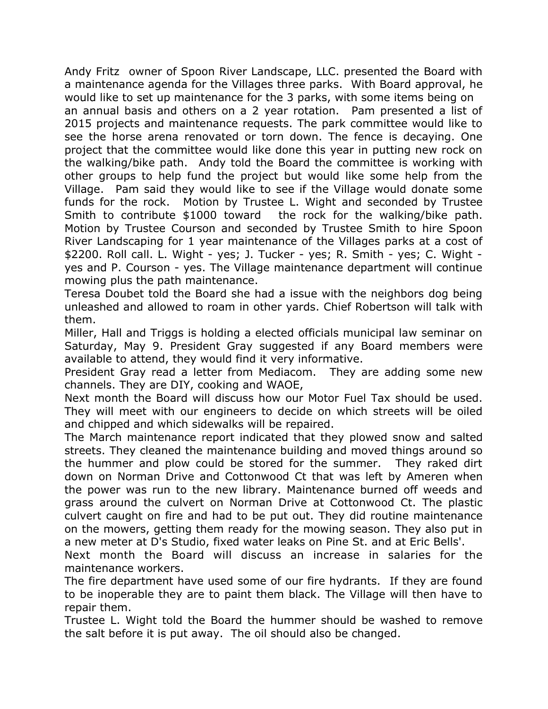Andy Fritz owner of Spoon River Landscape, LLC. presented the Board with a maintenance agenda for the Villages three parks. With Board approval, he would like to set up maintenance for the 3 parks, with some items being on an annual basis and others on a 2 year rotation. Pam presented a list of 2015 projects and maintenance requests. The park committee would like to see the horse arena renovated or torn down. The fence is decaying. One project that the committee would like done this year in putting new rock on the walking/bike path. Andy told the Board the committee is working with other groups to help fund the project but would like some help from the Village. Pam said they would like to see if the Village would donate some funds for the rock. Motion by Trustee L. Wight and seconded by Trustee Smith to contribute \$1000 toward the rock for the walking/bike path. Motion by Trustee Courson and seconded by Trustee Smith to hire Spoon River Landscaping for 1 year maintenance of the Villages parks at a cost of \$2200. Roll call. L. Wight - yes; J. Tucker - yes; R. Smith - yes; C. Wight - yes and P. Courson - yes. The Village maintenance department will continue mowing plus the path maintenance.

 Teresa Doubet told the Board she had a issue with the neighbors dog being unleashed and allowed to roam in other yards. Chief Robertson will talk with them.

 Miller, Hall and Triggs is holding a elected officials municipal law seminar on Saturday, May 9. President Gray suggested if any Board members were available to attend, they would find it very informative.

 President Gray read a letter from Mediacom. They are adding some new channels. They are DIY, cooking and WAOE,

 Next month the Board will discuss how our Motor Fuel Tax should be used. They will meet with our engineers to decide on which streets will be oiled and chipped and which sidewalks will be repaired.

 The March maintenance report indicated that they plowed snow and salted streets. They cleaned the maintenance building and moved things around so the hummer and plow could be stored for the summer. They raked dirt down on Norman Drive and Cottonwood Ct that was left by Ameren when the power was run to the new library. Maintenance burned off weeds and grass around the culvert on Norman Drive at Cottonwood Ct. The plastic culvert caught on fire and had to be put out. They did routine maintenance on the mowers, getting them ready for the mowing season. They also put in a new meter at D's Studio, fixed water leaks on Pine St. and at Eric Bells'.

 Next month the Board will discuss an increase in salaries for the maintenance workers.

 The fire department have used some of our fire hydrants. If they are found to be inoperable they are to paint them black. The Village will then have to repair them.

 Trustee L. Wight told the Board the hummer should be washed to remove the salt before it is put away. The oil should also be changed.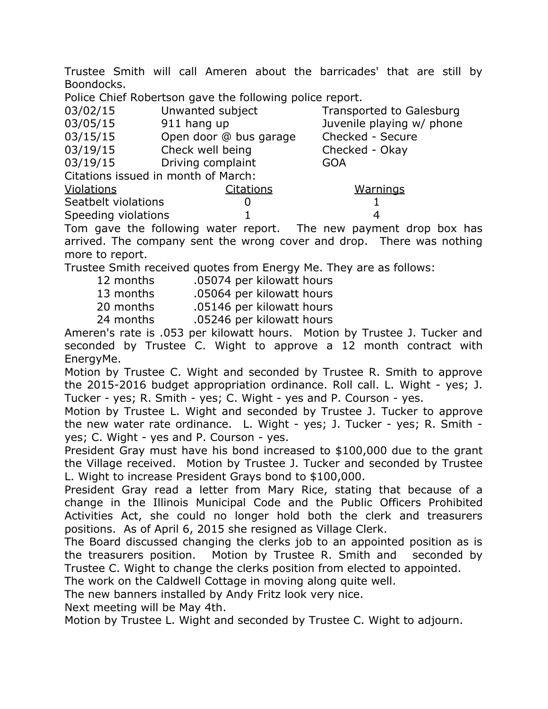Trustee Smith will call Ameren about the barricades' that are still by Boondocks.

Police Chief Robertson gave the following police report.

| 03/02/15                            | Unwanted subject       | <b>Transported to Galesburg</b> |  |  |
|-------------------------------------|------------------------|---------------------------------|--|--|
| 03/05/15                            | 911 hang up            | Juvenile playing w/ phone       |  |  |
| 03/15/15                            | Open door @ bus garage | Checked - Secure                |  |  |
| 03/19/15                            | Check well being       | Checked - Okay                  |  |  |
| 03/19/15                            | Driving complaint      | <b>GOA</b>                      |  |  |
| Citations issued in month of March: |                        |                                 |  |  |
| Violations                          | Citations              | <b>Warnings</b>                 |  |  |
| Seatbelt violations                 |                        |                                 |  |  |
| Speeding violations                 |                        | 4                               |  |  |

 Tom gave the following water report. The new payment drop box has arrived. The company sent the wrong cover and drop. There was nothing more to report.

Trustee Smith received quotes from Energy Me. They are as follows:

- 12 months .05074 per kilowatt hours
- 13 months .05064 per kilowatt hours

20 months .05146 per kilowatt hours

24 months .05246 per kilowatt hours

 Ameren's rate is .053 per kilowatt hours. Motion by Trustee J. Tucker and seconded by Trustee C. Wight to approve a 12 month contract with EnergyMe.

 Motion by Trustee C. Wight and seconded by Trustee R. Smith to approve the 2015-2016 budget appropriation ordinance. Roll call. L. Wight - yes; J. Tucker - yes; R. Smith - yes; C. Wight - yes and P. Courson - yes.

 Motion by Trustee L. Wight and seconded by Trustee J. Tucker to approve the new water rate ordinance. L. Wight - yes; J. Tucker - yes; R. Smith - yes; C. Wight - yes and P. Courson - yes.

 President Gray must have his bond increased to \$100,000 due to the grant the Village received. Motion by Trustee J. Tucker and seconded by Trustee L. Wight to increase President Grays bond to \$100,000.

 President Gray read a letter from Mary Rice, stating that because of a change in the Illinois Municipal Code and the Public Officers Prohibited Activities Act, she could no longer hold both the clerk and treasurers positions. As of April 6, 2015 she resigned as Village Clerk.

 The Board discussed changing the clerks job to an appointed position as is the treasurers position. Motion by Trustee R. Smith and seconded by Trustee C. Wight to change the clerks position from elected to appointed.

The work on the Caldwell Cottage in moving along quite well.

The new banners installed by Andy Fritz look very nice.

Next meeting will be May 4th.

Motion by Trustee L. Wight and seconded by Trustee C. Wight to adjourn.